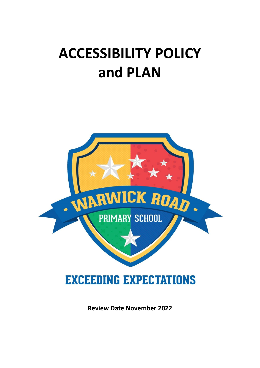## **ACCESSIBILITY POLICY and PLAN**



**Review Date November 2022**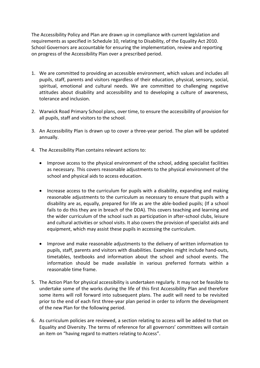The Accessibility Policy and Plan are drawn up in compliance with current legislation and requirements as specified in Schedule 10, relating to Disability, of the Equality Act 2010. School Governors are accountable for ensuring the implementation, review and reporting on progress of the Accessibility Plan over a prescribed period.

- 1. We are committed to providing an accessible environment, which values and includes all pupils, staff, parents and visitors regardless of their education, physical, sensory, social, spiritual, emotional and cultural needs. We are committed to challenging negative attitudes about disability and accessibility and to developing a culture of awareness, tolerance and inclusion.
- 2. Warwick Road Primary School plans, over time, to ensure the accessibility of provision for all pupils, staff and visitors to the school.
- 3. An Accessibility Plan is drawn up to cover a three-year period. The plan will be updated annually.
- 4. The Accessibility Plan contains relevant actions to:
	- Improve access to the physical environment of the school, adding specialist facilities as necessary. This covers reasonable adjustments to the physical environment of the school and physical aids to access education.
	- Increase access to the curriculum for pupils with a disability, expanding and making reasonable adjustments to the curriculum as necessary to ensure that pupils with a disability are as, equally, prepared for life as are the able-bodied pupils; (If a school fails to do this they are in breach of the DDA). This covers teaching and learning and the wider curriculum of the school such as participation in after-school clubs, leisure and cultural activities or school visits. It also covers the provision of specialist aids and equipment, which may assist these pupils in accessing the curriculum.
	- Improve and make reasonable adjustments to the delivery of written information to pupils, staff, parents and visitors with disabilities. Examples might include hand-outs, timetables, textbooks and information about the school and school events. The information should be made available in various preferred formats within a reasonable time frame.
- 5. The Action Plan for physical accessibility is undertaken regularly. It may not be feasible to undertake some of the works during the life of this first Accessibility Plan and therefore some items will roll forward into subsequent plans. The audit will need to be revisited prior to the end of each first three-year plan period in order to inform the development of the new Plan for the following period.
- 6. As curriculum policies are reviewed, a section relating to access will be added to that on Equality and Diversity. The terms of reference for all governors' committees will contain an item on "having regard to matters relating to Access".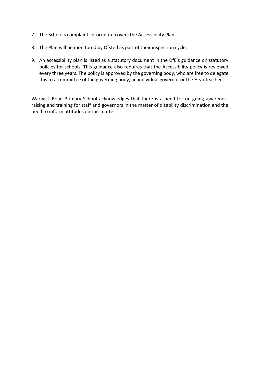- 7. The School's complaints procedure covers the Accessibility Plan.
- 8. The Plan will be monitored by Ofsted as part of their inspection cycle.
- 9. An accessibility plan is listed as a statutory document in the DfE's guidance on statutory policies for schools. This guidance also requires that the Accessibility policy is reviewed every three years. The policy is approved by the governing body, who are free to delegate this to a committee of the governing body, an individual governor or the Headteacher.

Warwick Road Primary School acknowledges that there is a need for on-going awareness raising and training for staff and governors in the matter of disability discrimination and the need to inform attitudes on this matter.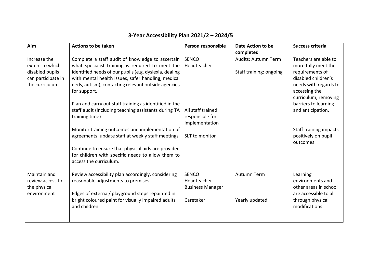| Aim                                                                                        | <b>Actions to be taken</b>                                                                                                                                                                                                                                                                                                                                                                                                                                                                                                                                                                                                                                                    | Person responsible                                                                                      | Date Action to be<br>completed                 | <b>Success criteria</b>                                                                                                                                                                                                                                           |
|--------------------------------------------------------------------------------------------|-------------------------------------------------------------------------------------------------------------------------------------------------------------------------------------------------------------------------------------------------------------------------------------------------------------------------------------------------------------------------------------------------------------------------------------------------------------------------------------------------------------------------------------------------------------------------------------------------------------------------------------------------------------------------------|---------------------------------------------------------------------------------------------------------|------------------------------------------------|-------------------------------------------------------------------------------------------------------------------------------------------------------------------------------------------------------------------------------------------------------------------|
| Increase the<br>extent to which<br>disabled pupils<br>can participate in<br>the curriculum | Complete a staff audit of knowledge to ascertain<br>what specialist training is required to meet the<br>identified needs of our pupils (e.g. dyslexia, dealing<br>with mental health issues, safer handling, medical<br>neds, autism), contacting relevant outside agencies<br>for support.<br>Plan and carry out staff training as identified in the<br>staff audit (including teaching assistants during TA<br>training time)<br>Monitor training outcomes and implementation of<br>agreements, update staff at weekly staff meetings.<br>Continue to ensure that physical aids are provided<br>for children with specific needs to allow them to<br>access the curriculum. | <b>SENCO</b><br>Headteacher<br>All staff trained<br>responsible for<br>implementation<br>SLT to monitor | Audits: Autumn Term<br>Staff training: ongoing | Teachers are able to<br>more fully meet the<br>requirements of<br>disabled children's<br>needs with regards to<br>accessing the<br>curriculum, removing<br>barriers to learning<br>and anticipation.<br>Staff training impacts<br>positively on pupil<br>outcomes |
| Maintain and<br>review access to<br>the physical<br>environment                            | Review accessibility plan accordingly, considering<br>reasonable adjustments to premises<br>Edges of external/ playground steps repainted in<br>bright coloured paint for visually impaired adults<br>and children                                                                                                                                                                                                                                                                                                                                                                                                                                                            | <b>SENCO</b><br>Headteacher<br><b>Business Manager</b><br>Caretaker                                     | <b>Autumn Term</b><br>Yearly updated           | Learning<br>environments and<br>other areas in school<br>are accessible to all<br>through physical<br>modifications                                                                                                                                               |

## **3-Year Accessibility Plan 2021/2 – 2024/5**